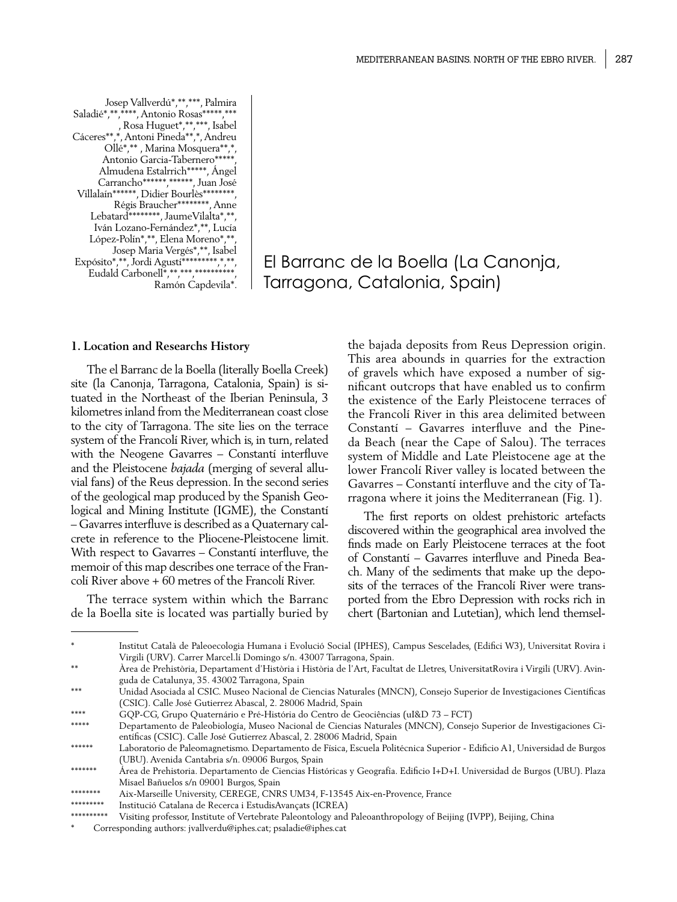Josep Vallverdú\*,\*\*,\*\*\*, Palmira Saladié\*,\*\*\*\*\*\*, Antonio Rosas\*\*\*\*\*,\*\*\* , Rosa Huguet\*,\*\*,\*\*\*, Isabel Cáceres\*\*,\*, Antoni Pineda\*\*,\*, Andreu Ollé\*,\*\* , Marina Mosquera\*\*,\*, Antonio Garcia-Tabernero\*\*\*\*\*\* Almudena Estalrrich\*\*\*\*\*, Ángel Carrancho\*\*\*\*\*\*\*\*\*\*\*\*\*\*, Juan José Villalaín\*\*\*\*\*\*, Didier Bourlès\*\*\*\*\*\*\*\*, Régis Braucher\*\*\*\*\*\*\*\*, Anne Lebatard\*\*\*\*\*\*\*\*, JaumeVilalta\*,\*\*, Iván Lozano-Fernández\*,\*\*, Lucía López-Polín\*,\*\*, Elena Moreno\*,\*\*, Josep Maria Vergés\*,\*\*, Isabel Expósito\*,\*\*, Jordi Agustí\*\*\*\*\*\*\*\*\*,\*,\*\*, Eudald Carbonell\*,\*\*,\*\*\*,\*\*\*\*\*\*\*\*\*\* Ramón Capdevila\*.

El Barranc de la Boella (La Canonja, Tarragona, Catalonia, Spain)

#### **1. Location and Researchs History**

The el Barranc de la Boella (literally Boella Creek) site (la Canonja, Tarragona, Catalonia, Spain) is situated in the Northeast of the Iberian Peninsula, 3 kilometres inland from the Mediterranean coast close to the city of Tarragona. The site lies on the terrace system of the Francolí River, which is, in turn, related with the Neogene Gavarres – Constantí interfluve and the Pleistocene *bajada* (merging of several alluvial fans) of the Reus depression. In the second series of the geological map produced by the Spanish Geological and Mining Institute (IGME), the Constantí – Gavarres interfluve is described as a Quaternary calcrete in reference to the Pliocene-Pleistocene limit. With respect to Gavarres – Constantí interfluve, the memoir of this map describes one terrace of the Francolí River above + 60 metres of the Francolí River.

The terrace system within which the Barranc de la Boella site is located was partially buried by

the bajada deposits from Reus Depression origin. This area abounds in quarries for the extraction of gravels which have exposed a number of significant outcrops that have enabled us to confirm the existence of the Early Pleistocene terraces of the Francolí River in this area delimited between Constantí – Gavarres interfluve and the Pineda Beach (near the Cape of Salou). The terraces system of Middle and Late Pleistocene age at the lower Francolí River valley is located between the Gavarres – Constantí interfluve and the city of Tarragona where it joins the Mediterranean (Fig. 1).

The first reports on oldest prehistoric artefacts discovered within the geographical area involved the finds made on Early Pleistocene terraces at the foot of Constantí – Gavarres interfluve and Pineda Beach. Many of the sediments that make up the deposits of the terraces of the Francolí River were transported from the Ebro Depression with rocks rich in chert (Bartonian and Lutetian), which lend themsel-

<sup>\*</sup> Institut Català de Paleoecologia Humana i Evolució Social (IPHES), Campus Sescelades, (Edifici W3), Universitat Rovira i Virgili (URV). Carrer Marcel.lí Domingo s/n. 43007 Tarragona, Spain.

Àrea de Prehistòria, Departament d'Història i Història de l'Art, Facultat de Lletres, UniversitatRovira i Virgili (URV). Avinguda de Catalunya, 35. 43002 Tarragona, Spain

<sup>\*\*\*</sup> Unidad Asociada al CSIC. Museo Nacional de Ciencias Naturales (MNCN), Consejo Superior de Investigaciones Científicas (CSIC). Calle José Gutierrez Abascal, 2. 28006 Madrid, Spain

<sup>\*\*\*\*</sup> GQP-CG, Grupo Quaternário e Pré-História do Centro de Geociências (uI&D 73 – FCT)

<sup>\*\*\*\*\*</sup> Departamento de Paleobiología, Museo Nacional de Ciencias Naturales (MNCN), Consejo Superior de Investigaciones Científicas (CSIC). Calle José Gutierrez Abascal, 2. 28006 Madrid, Spain

<sup>\*\*\*\*\*\*</sup> Laboratorio de Paleomagnetismo. Departamento de Física, Escuela Politécnica Superior - Edificio A1, Universidad de Burgos (UBU). Avenida Cantabria s/n. 09006 Burgos, Spain

<sup>\*\*\*\*\*\*\*</sup> Área de Prehistoria. Departamento de Ciencias Históricas y Geografía. Edificio I+D+I. Universidad de Burgos (UBU). Plaza Misael Bañuelos s/n 09001 Burgos, Spain

<sup>\*\*\*\*\*\*\*\*</sup> Aix-Marseille University, CEREGE, CNRS UM34, F-13545 Aix-en-Provence, France

<sup>\*\*\*\*\*\*\*\*\*</sup> Institució Catalana de Recerca i EstudisAvançats (ICREA)

Visiting professor, Institute of Vertebrate Paleontology and Paleoanthropology of Beijing (IVPP), Beijing, China

Corresponding authors: jvallverdu@iphes.cat; psaladie@iphes.cat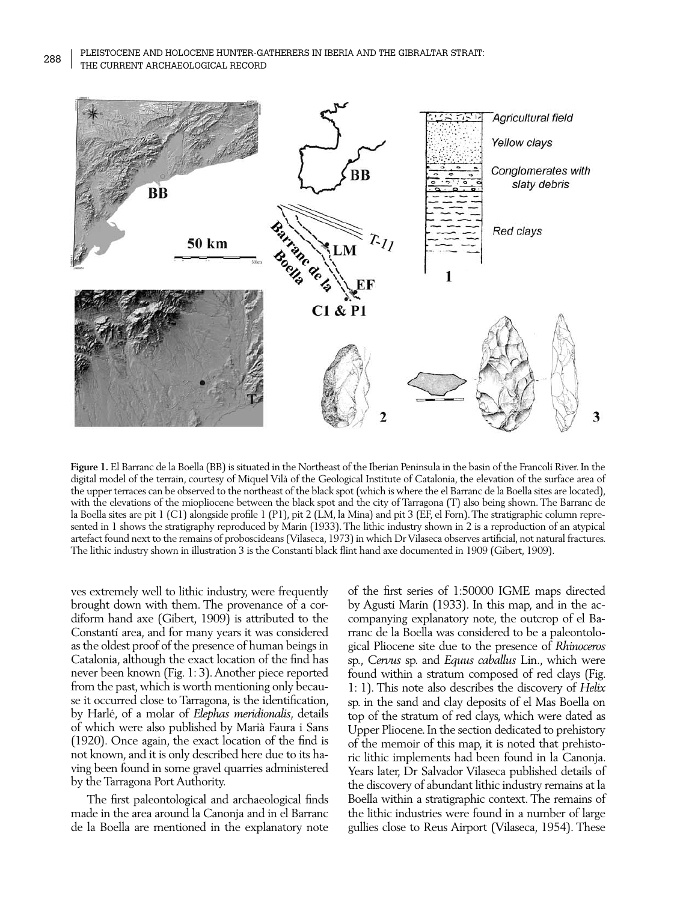Pleistocene and Holocene hunter-gatherers in Iberia and the Gibraltar Strait: 288 | PLEISTOCENE AND HOLOCENE HONTER-G/<br>THE CURRENT ARCHAEOLOGICAL RECORD



**Figure 1.** El Barranc de la Boella (BB) is situated in the Northeast of the Iberian Peninsula in the basin of the Francolí River. In the digital model of the terrain, courtesy of Miquel Vilà of the Geological Institute of Catalonia, the elevation of the surface area of the upper terraces can be observed to the northeast of the black spot (which is where the el Barranc de la Boella sites are located), with the elevations of the miopliocene between the black spot and the city of Tarragona (T) also being shown. The Barranc de la Boella sites are pit 1 (C1) alongside profile 1 (P1), pit 2 (LM, la Mina) and pit 3 (EF, el Forn). The stratigraphic column represented in 1 shows the stratigraphy reproduced by Marin (1933). The lithic industry shown in 2 is a reproduction of an atypical artefact found next to the remains of proboscideans (Vilaseca, 1973) in which Dr Vilaseca observes artificial, not natural fractures. The lithic industry shown in illustration 3 is the Constantí black flint hand axe documented in 1909 (Gibert, 1909).

ves extremely well to lithic industry, were frequently brought down with them. The provenance of a cordiform hand axe (Gibert, 1909) is attributed to the Constantí area, and for many years it was considered as the oldest proof of the presence of human beings in Catalonia, although the exact location of the find has never been known (Fig. 1: 3). Another piece reported from the past, which is worth mentioning only because it occurred close to Tarragona, is the identification, by Harlé, of a molar of *Elephas meridionalis*, details of which were also published by Marià Faura i Sans (1920). Once again, the exact location of the find is not known, and it is only described here due to its having been found in some gravel quarries administered by the Tarragona Port Authority.

The first paleontological and archaeological finds made in the area around la Canonja and in el Barranc de la Boella are mentioned in the explanatory note

of the first series of 1:50000 IGME maps directed by Agustí Marín (1933). In this map, and in the accompanying explanatory note, the outcrop of el Barranc de la Boella was considered to be a paleontological Pliocene site due to the presence of *Rhinoceros*  sp., *Cervus* sp. and *Equus caballus* Lin., which were found within a stratum composed of red clays (Fig. 1: 1). This note also describes the discovery of *Helix* sp. in the sand and clay deposits of el Mas Boella on top of the stratum of red clays, which were dated as Upper Pliocene. In the section dedicated to prehistory of the memoir of this map, it is noted that prehistoric lithic implements had been found in la Canonja. Years later, Dr Salvador Vilaseca published details of the discovery of abundant lithic industry remains at la Boella within a stratigraphic context. The remains of the lithic industries were found in a number of large gullies close to Reus Airport (Vilaseca, 1954). These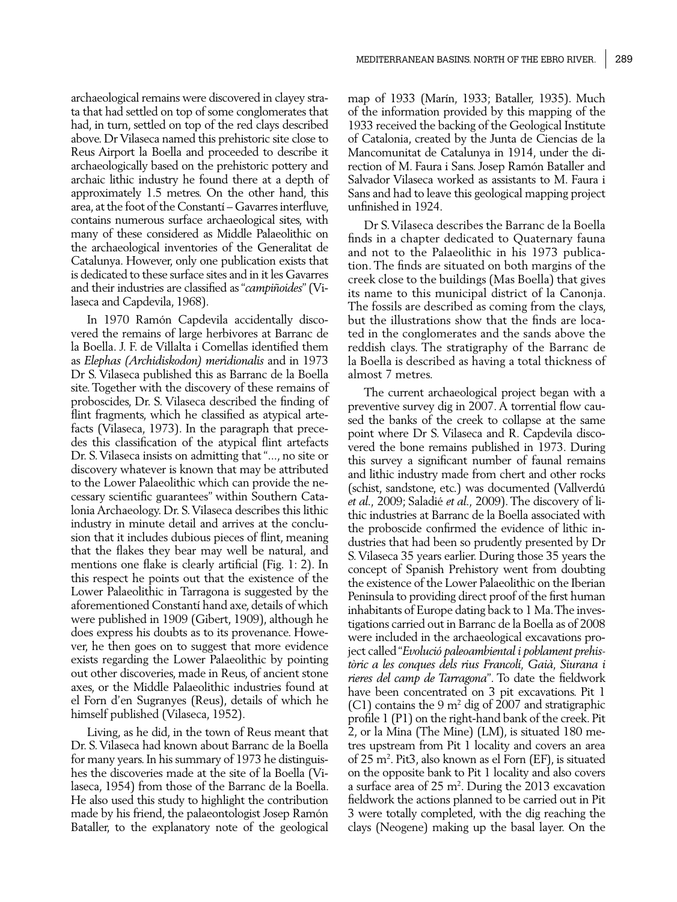archaeological remains were discovered in clayey strata that had settled on top of some conglomerates that had, in turn, settled on top of the red clays described above. Dr Vilaseca named this prehistoric site close to Reus Airport la Boella and proceeded to describe it archaeologically based on the prehistoric pottery and archaic lithic industry he found there at a depth of approximately 1.5 metres. On the other hand, this area, at the foot of the Constantí – Gavarres interfluve, contains numerous surface archaeological sites, with many of these considered as Middle Palaeolithic on the archaeological inventories of the Generalitat de Catalunya. However, only one publication exists that is dedicated to these surface sites and in it les Gavarres and their industries are classified as "*campiñoides*" (Vilaseca and Capdevila, 1968).

In 1970 Ramón Capdevila accidentally discovered the remains of large herbivores at Barranc de la Boella. J. F. de Villalta i Comellas identified them as *Elephas (Archidiskodon) meridionalis* and in 1973 Dr S. Vilaseca published this as Barranc de la Boella site. Together with the discovery of these remains of proboscides, Dr. S. Vilaseca described the finding of flint fragments, which he classified as atypical artefacts (Vilaseca, 1973). In the paragraph that precedes this classification of the atypical flint artefacts Dr. S. Vilaseca insists on admitting that "..., no site or discovery whatever is known that may be attributed to the Lower Palaeolithic which can provide the necessary scientific guarantees" within Southern Catalonia Archaeology. Dr. S. Vilaseca describes this lithic industry in minute detail and arrives at the conclusion that it includes dubious pieces of flint, meaning that the flakes they bear may well be natural, and mentions one flake is clearly artificial (Fig. 1: 2). In this respect he points out that the existence of the Lower Palaeolithic in Tarragona is suggested by the aforementioned Constantí hand axe, details of which were published in 1909 (Gibert, 1909), although he does express his doubts as to its provenance. However, he then goes on to suggest that more evidence exists regarding the Lower Palaeolithic by pointing out other discoveries, made in Reus, of ancient stone axes, or the Middle Palaeolithic industries found at el Forn d'en Sugranyes (Reus), details of which he himself published (Vilaseca, 1952).

Living, as he did, in the town of Reus meant that Dr. S. Vilaseca had known about Barranc de la Boella for many years. In his summary of 1973 he distinguishes the discoveries made at the site of la Boella (Vilaseca, 1954) from those of the Barranc de la Boella. He also used this study to highlight the contribution made by his friend, the palaeontologist Josep Ramón Bataller, to the explanatory note of the geological

map of 1933 (Marín, 1933; Bataller, 1935). Much of the information provided by this mapping of the 1933 received the backing of the Geological Institute of Catalonia, created by the Junta de Ciencias de la Mancomunitat de Catalunya in 1914, under the direction of M. Faura i Sans. Josep Ramón Bataller and Salvador Vilaseca worked as assistants to M. Faura i Sans and had to leave this geological mapping project unfinished in 1924.

Dr S. Vilaseca describes the Barranc de la Boella finds in a chapter dedicated to Quaternary fauna and not to the Palaeolithic in his 1973 publication. The finds are situated on both margins of the creek close to the buildings (Mas Boella) that gives its name to this municipal district of la Canonja. The fossils are described as coming from the clays, but the illustrations show that the finds are located in the conglomerates and the sands above the reddish clays. The stratigraphy of the Barranc de la Boella is described as having a total thickness of almost 7 metres.

The current archaeological project began with a preventive survey dig in 2007. A torrential flow caused the banks of the creek to collapse at the same point where Dr S. Vilaseca and R. Capdevila discovered the bone remains published in 1973. During this survey a significant number of faunal remains and lithic industry made from chert and other rocks (schist, sandstone, etc.) was documented (Vallverdú *et al.,* 2009; Saladié *et al.,* 2009). The discovery of lithic industries at Barranc de la Boella associated with the proboscide confirmed the evidence of lithic industries that had been so prudently presented by Dr S. Vilaseca 35 years earlier. During those 35 years the concept of Spanish Prehistory went from doubting the existence of the Lower Palaeolithic on the Iberian Peninsula to providing direct proof of the first human inhabitants of Europe dating back to 1 Ma. The investigations carried out in Barranc de la Boella as of 2008 were included in the archaeological excavations project called "*Evolució paleoambiental i poblament prehistòric a les conques dels rius Francolí, Gaià, Siurana i rieres del camp de Tarragona*". To date the fieldwork have been concentrated on 3 pit excavations. Pit 1 (C1) contains the 9  $m^2$  dig of 2007 and stratigraphic profile 1 (P1) on the right-hand bank of the creek. Pit 2, or la Mina (The Mine) (LM), is situated 180 metres upstream from Pit 1 locality and covers an area of 25 m2 . Pit3, also known as el Forn (EF), is situated on the opposite bank to Pit 1 locality and also covers a surface area of 25 m<sup>2</sup>. During the 2013 excavation fieldwork the actions planned to be carried out in Pit 3 were totally completed, with the dig reaching the clays (Neogene) making up the basal layer. On the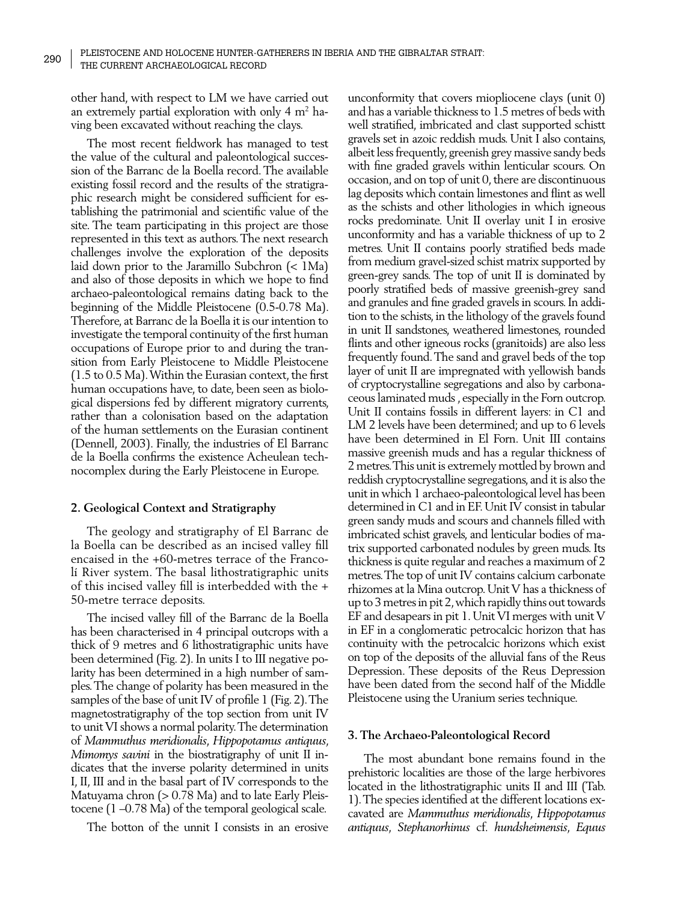other hand, with respect to LM we have carried out an extremely partial exploration with only  $4\ \text{m}^2$  having been excavated without reaching the clays.

The most recent fieldwork has managed to test the value of the cultural and paleontological succession of the Barranc de la Boella record. The available existing fossil record and the results of the stratigraphic research might be considered sufficient for establishing the patrimonial and scientific value of the site. The team participating in this project are those represented in this text as authors. The next research challenges involve the exploration of the deposits laid down prior to the Jaramillo Subchron (< 1Ma) and also of those deposits in which we hope to find archaeo-paleontological remains dating back to the beginning of the Middle Pleistocene (0.5-0.78 Ma). Therefore, at Barranc de la Boella it is our intention to investigate the temporal continuity of the first human occupations of Europe prior to and during the transition from Early Pleistocene to Middle Pleistocene (1.5 to 0.5 Ma). Within the Eurasian context, the first human occupations have, to date, been seen as biological dispersions fed by different migratory currents, rather than a colonisation based on the adaptation of the human settlements on the Eurasian continent (Dennell, 2003). Finally, the industries of El Barranc de la Boella confirms the existence Acheulean technocomplex during the Early Pleistocene in Europe.

## **2. Geological Context and Stratigraphy**

The geology and stratigraphy of El Barranc de la Boella can be described as an incised valley fill encaised in the +60-metres terrace of the Francolí River system. The basal lithostratigraphic units of this incised valley fill is interbedded with the + 50-metre terrace deposits.

The incised valley fill of the Barranc de la Boella has been characterised in 4 principal outcrops with a thick of 9 metres and 6 lithostratigraphic units have been determined (Fig. 2). In units I to III negative polarity has been determined in a high number of samples. The change of polarity has been measured in the samples of the base of unit IV of profile 1 (Fig. 2). The magnetostratigraphy of the top section from unit IV to unit VI shows a normal polarity. The determination of *Mammuthus meridionalis*, *Hippopotamus antiquus*, *Mimomys savini* in the biostratigraphy of unit II indicates that the inverse polarity determined in units I, II, III and in the basal part of IV corresponds to the Matuyama chron (> 0.78 Ma) and to late Early Pleistocene (1 –0.78 Ma) of the temporal geological scale.

The botton of the unnit I consists in an erosive

unconformity that covers miopliocene clays (unit 0) and has a variable thickness to 1.5 metres of beds with well stratified, imbricated and clast supported schistt gravels set in azoic reddish muds. Unit I also contains, albeit less frequently, greenish grey massive sandy beds with fine graded gravels within lenticular scours. On occasion, and on top of unit 0, there are discontinuous lag deposits which contain limestones and flint as well as the schists and other lithologies in which igneous rocks predominate. Unit II overlay unit I in erosive unconformity and has a variable thickness of up to 2 metres. Unit II contains poorly stratified beds made from medium gravel-sized schist matrix supported by green-grey sands. The top of unit II is dominated by poorly stratified beds of massive greenish-grey sand and granules and fine graded gravels in scours. In addition to the schists, in the lithology of the gravels found in unit II sandstones, weathered limestones, rounded flints and other igneous rocks (granitoids) are also less frequently found. The sand and gravel beds of the top layer of unit II are impregnated with yellowish bands of cryptocrystalline segregations and also by carbonaceous laminated muds , especially in the Forn outcrop. Unit II contains fossils in different layers: in C1 and LM 2 levels have been determined; and up to 6 levels have been determined in El Forn. Unit III contains massive greenish muds and has a regular thickness of 2 metres. This unit is extremely mottled by brown and reddish cryptocrystalline segregations, and it is also the unit in which 1 archaeo-paleontological level has been determined in C1 and in EF. Unit IV consist in tabular green sandy muds and scours and channels filled with imbricated schist gravels, and lenticular bodies of matrix supported carbonated nodules by green muds. Its thickness is quite regular and reaches a maximum of 2 metres. The top of unit IV contains calcium carbonate rhizomes at la Mina outcrop. Unit V has a thickness of up to 3 metres in pit 2, which rapidly thins out towards EF and desapears in pit 1. Unit VI merges with unit V in EF in a conglomeratic petrocalcic horizon that has continuity with the petrocalcic horizons which exist on top of the deposits of the alluvial fans of the Reus Depression. These deposits of the Reus Depression have been dated from the second half of the Middle Pleistocene using the Uranium series technique.

# **3. The Archaeo-Paleontological Record**

The most abundant bone remains found in the prehistoric localities are those of the large herbivores located in the lithostratigraphic units II and III (Tab. 1). The species identified at the different locations excavated are *Mammuthus meridionalis*, *Hippopotamus antiquus*, *Stephanorhinus* cf*. hundsheimensis*, *Equus*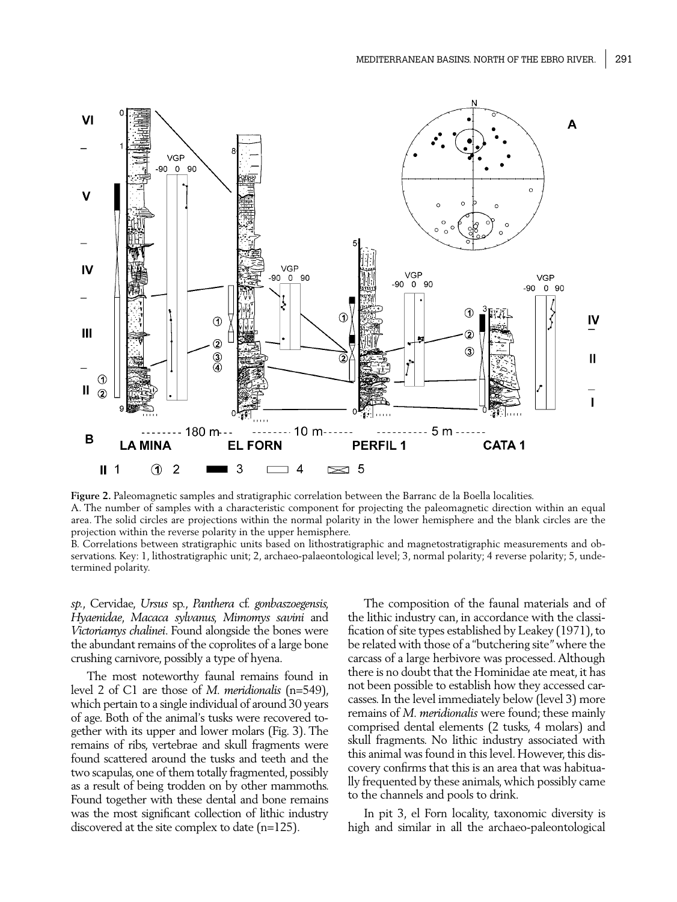

**Figure 2.** Paleomagnetic samples and stratigraphic correlation between the Barranc de la Boella localities. A. The number of samples with a characteristic component for projecting the paleomagnetic direction within an equal area. The solid circles are projections within the normal polarity in the lower hemisphere and the blank circles are the projection within the reverse polarity in the upper hemisphere.

B. Correlations between stratigraphic units based on lithostratigraphic and magnetostratigraphic measurements and observations. Key: 1, lithostratigraphic unit; 2, archaeo-palaeontological level; 3, normal polarity; 4 reverse polarity; 5, undetermined polarity.

*sp.*, Cervidae, *Ursus* sp., *Panthera* cf. *gonbaszoegensis, Hyaenidae*, *Macaca sylvanus, Mimomys savini* and *Victoriamys chalinei*. Found alongside the bones were the abundant remains of the coprolites of a large bone crushing carnivore, possibly a type of hyena.

The most noteworthy faunal remains found in level 2 of C1 are those of *M. meridionalis* (n=549), which pertain to a single individual of around 30 years of age. Both of the animal's tusks were recovered together with its upper and lower molars (Fig. 3). The remains of ribs, vertebrae and skull fragments were found scattered around the tusks and teeth and the two scapulas, one of them totally fragmented, possibly as a result of being trodden on by other mammoths. Found together with these dental and bone remains was the most significant collection of lithic industry discovered at the site complex to date (n=125).

The composition of the faunal materials and of the lithic industry can, in accordance with the classification of site types established by Leakey (1971), to be related with those of a "butchering site*"* where the carcass of a large herbivore was processed. Although there is no doubt that the Hominidae ate meat, it has not been possible to establish how they accessed carcasses. In the level immediately below (level 3) more remains of *M. meridionalis* were found; these mainly comprised dental elements (2 tusks, 4 molars) and skull fragments. No lithic industry associated with this animal was found in this level. However, this discovery confirms that this is an area that was habitually frequented by these animals, which possibly came to the channels and pools to drink.

In pit 3, el Forn locality, taxonomic diversity is high and similar in all the archaeo-paleontological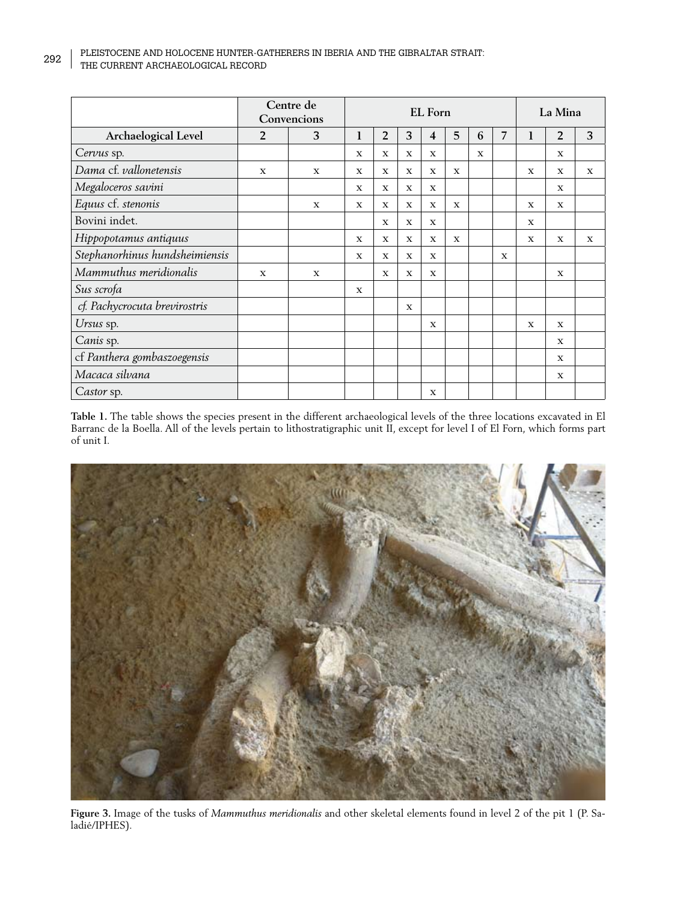# Pleistocene and Holocene hunter-gatherers in Iberia and the Gibraltar Strait: 292 PLEISTOCENE AND HOLOCENE HUNTER-GALENT RECORD THE CURRENT ARCHAEOLOGICAL RECORD

|                                | Centre de<br>Convencions |             | <b>EL</b> Forn |                |              |              |             |              |                | La Mina      |                |              |
|--------------------------------|--------------------------|-------------|----------------|----------------|--------------|--------------|-------------|--------------|----------------|--------------|----------------|--------------|
| Archaelogical Level            | 2                        | 3           | 1              | $\overline{2}$ | 3            | 4            | 5           | 6            | $\overline{7}$ | 1            | $\overline{2}$ | 3            |
| Cervus sp.                     |                          |             | $\mathbf x$    | $\mathbf x$    | $\mathbf{x}$ | $\mathbf{x}$ |             | $\mathbf{x}$ |                |              | $\mathbf x$    |              |
| Dama cf. vallonetensis         | X                        | $\mathbf x$ | $\mathbf x$    | $\mathbf x$    | $\mathbf{x}$ | $\mathbf x$  | $\mathbf x$ |              |                | X            | $\mathbf x$    | $\mathbf x$  |
| Megaloceros savini             |                          |             | $\mathbf x$    | $\mathbf x$    | $\mathbf x$  | X            |             |              |                |              | X              |              |
| Equus cf. stenonis             |                          | $\mathbf x$ | $\mathbf{x}$   | $\mathbf x$    | $\mathbf{x}$ | $\mathbf x$  | $\mathbf x$ |              |                | $\mathbf{x}$ | $\mathbf x$    |              |
| Bovini indet.                  |                          |             |                | $\mathbf x$    | $\mathbf{x}$ | X            |             |              |                | $\mathbf x$  |                |              |
| Hippopotamus antiquus          |                          |             | $\mathbf x$    | X              | $\mathbf{x}$ | $\mathbf x$  | X           |              |                | $\mathbf{x}$ | $\mathbf{x}$   | $\mathbf{x}$ |
| Stephanorhinus hundsheimiensis |                          |             | $\mathbf{x}$   | X              | $\mathbf x$  | $\mathbf{x}$ |             |              | $\mathbf{x}$   |              |                |              |
| Mammuthus meridionalis         | $\mathbf x$              | X           |                | X              | $\mathbf x$  | X            |             |              |                |              | X              |              |
| Sus scrofa                     |                          |             | $\mathbf x$    |                |              |              |             |              |                |              |                |              |
| cf. Pachycrocuta brevirostris  |                          |             |                |                | X            |              |             |              |                |              |                |              |
| Ursus sp.                      |                          |             |                |                |              | $\mathbf{x}$ |             |              |                | $\mathbf{x}$ | $\mathbf{x}$   |              |
| Canis sp.                      |                          |             |                |                |              |              |             |              |                |              | $\mathbf x$    |              |
| cf Panthera gombaszoegensis    |                          |             |                |                |              |              |             |              |                |              | $\mathbf{x}$   |              |
| Macaca silvana                 |                          |             |                |                |              |              |             |              |                |              | X              |              |
| Castor sp.                     |                          |             |                |                |              | $\mathbf x$  |             |              |                |              |                |              |

Table 1. The table shows the species present in the different archaeological levels of the three locations excavated in El Barranc de la Boella. All of the levels pertain to lithostratigraphic unit II, except for level I of El Forn, which forms part of unit I.



**Figure 3.** Image of the tusks of *Mammuthus meridionalis* and other skeletal elements found in level 2 of the pit 1 (P. Saladié/IPHES).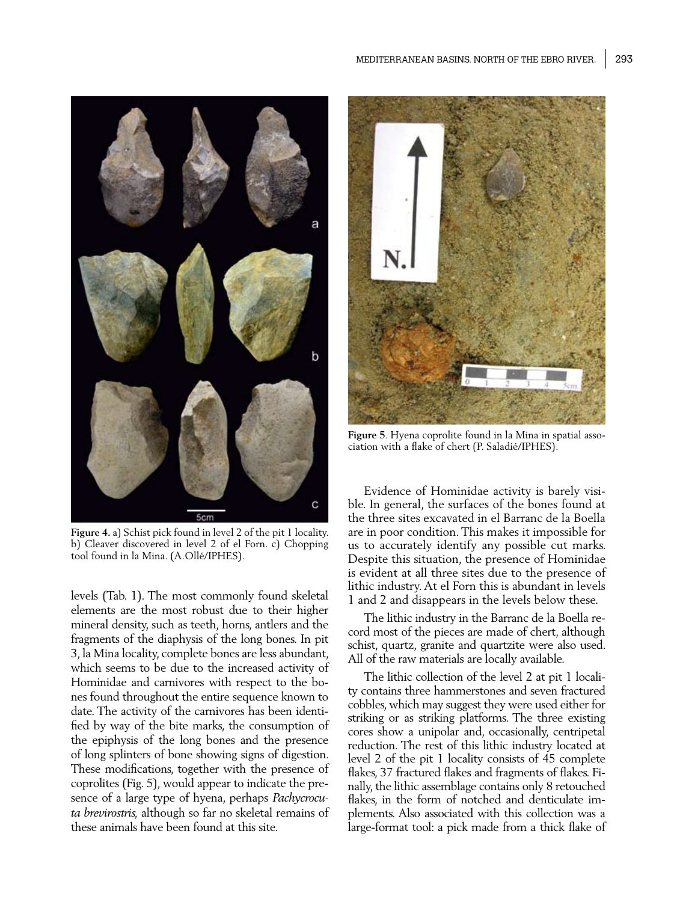

**Figure 4.** a) Schist pick found in level 2 of the pit 1 locality. b) Cleaver discovered in level 2 of el Forn. c) Chopping tool found in la Mina. (A.Ollé/IPHES).

levels (Tab. 1). The most commonly found skeletal elements are the most robust due to their higher mineral density, such as teeth, horns, antlers and the fragments of the diaphysis of the long bones. In pit 3, la Mina locality, complete bones are less abundant, which seems to be due to the increased activity of Hominidae and carnivores with respect to the bones found throughout the entire sequence known to date. The activity of the carnivores has been identified by way of the bite marks, the consumption of the epiphysis of the long bones and the presence of long splinters of bone showing signs of digestion. These modifications, together with the presence of coprolites (Fig. 5), would appear to indicate the presence of a large type of hyena, perhaps *Pachycrocuta brevirostris,* although so far no skeletal remains of these animals have been found at this site.



**Figure 5**. Hyena coprolite found in la Mina in spatial association with a flake of chert (P. Saladié/IPHES).

Evidence of Hominidae activity is barely visible. In general, the surfaces of the bones found at the three sites excavated in el Barranc de la Boella are in poor condition. This makes it impossible for us to accurately identify any possible cut marks. Despite this situation, the presence of Hominidae is evident at all three sites due to the presence of lithic industry. At el Forn this is abundant in levels 1 and 2 and disappears in the levels below these.

The lithic industry in the Barranc de la Boella record most of the pieces are made of chert, although schist, quartz, granite and quartzite were also used. All of the raw materials are locally available.

The lithic collection of the level 2 at pit 1 locality contains three hammerstones and seven fractured cobbles, which may suggest they were used either for striking or as striking platforms. The three existing cores show a unipolar and, occasionally, centripetal reduction. The rest of this lithic industry located at level 2 of the pit 1 locality consists of 45 complete flakes, 37 fractured flakes and fragments of flakes. Finally, the lithic assemblage contains only 8 retouched flakes, in the form of notched and denticulate implements. Also associated with this collection was a large-format tool: a pick made from a thick flake of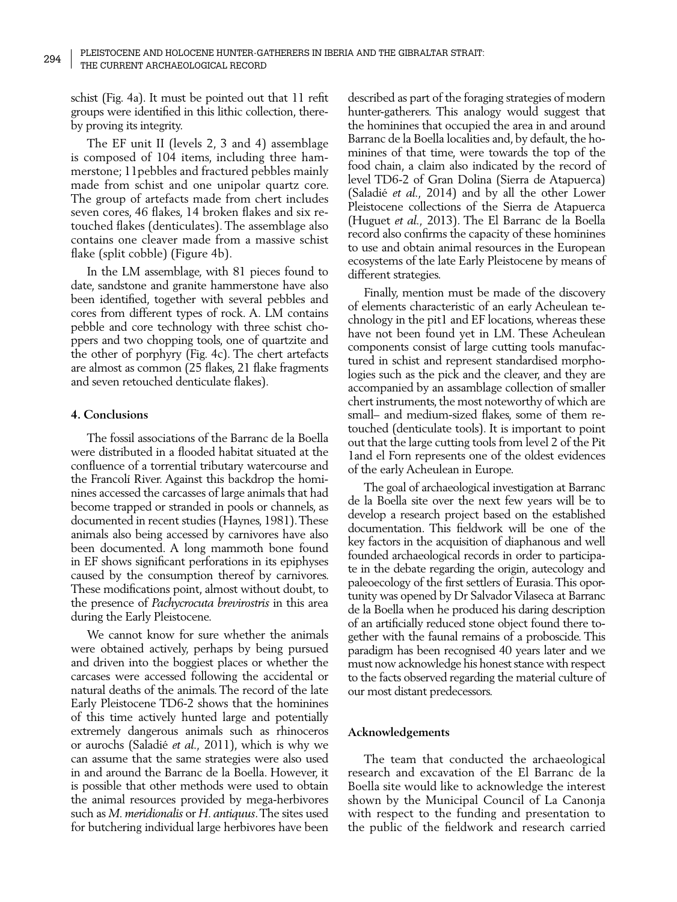schist (Fig. 4a). It must be pointed out that 11 refit groups were identified in this lithic collection, thereby proving its integrity.

The EF unit II (levels 2, 3 and 4) assemblage is composed of 104 items, including three hammerstone; 11pebbles and fractured pebbles mainly made from schist and one unipolar quartz core. The group of artefacts made from chert includes seven cores, 46 flakes, 14 broken flakes and six retouched flakes (denticulates). The assemblage also contains one cleaver made from a massive schist flake (split cobble) (Figure 4b).

In the LM assemblage, with 81 pieces found to date, sandstone and granite hammerstone have also been identified, together with several pebbles and cores from different types of rock. A. LM contains pebble and core technology with three schist choppers and two chopping tools, one of quartzite and the other of porphyry (Fig. 4c). The chert artefacts are almost as common (25 flakes, 21 flake fragments and seven retouched denticulate flakes).

## **4. Conclusions**

The fossil associations of the Barranc de la Boella were distributed in a flooded habitat situated at the confluence of a torrential tributary watercourse and the Francolí River. Against this backdrop the hominines accessed the carcasses of large animals that had become trapped or stranded in pools or channels, as documented in recent studies (Haynes, 1981). These animals also being accessed by carnivores have also been documented. A long mammoth bone found in EF shows significant perforations in its epiphyses caused by the consumption thereof by carnivores. These modifications point, almost without doubt, to the presence of *Pachycrocuta brevirostris* in this area during the Early Pleistocene.

We cannot know for sure whether the animals were obtained actively, perhaps by being pursued and driven into the boggiest places or whether the carcases were accessed following the accidental or natural deaths of the animals. The record of the late Early Pleistocene TD6-2 shows that the hominines of this time actively hunted large and potentially extremely dangerous animals such as rhinoceros or aurochs (Saladié *et al.,* 2011), which is why we can assume that the same strategies were also used in and around the Barranc de la Boella. However, it is possible that other methods were used to obtain the animal resources provided by mega-herbivores such as *M. meridionalis* or *H. antiquus*. The sites used for butchering individual large herbivores have been

described as part of the foraging strategies of modern hunter-gatherers. This analogy would suggest that the hominines that occupied the area in and around Barranc de la Boella localities and, by default, the hominines of that time, were towards the top of the food chain, a claim also indicated by the record of level TD6-2 of Gran Dolina (Sierra de Atapuerca) (Saladié *et al.,* 2014) and by all the other Lower Pleistocene collections of the Sierra de Atapuerca (Huguet *et al.,* 2013). The El Barranc de la Boella record also confirms the capacity of these hominines to use and obtain animal resources in the European ecosystems of the late Early Pleistocene by means of different strategies.

Finally, mention must be made of the discovery of elements characteristic of an early Acheulean technology in the pit1 and EF locations, whereas these have not been found yet in LM. These Acheulean components consist of large cutting tools manufactured in schist and represent standardised morphologies such as the pick and the cleaver, and they are accompanied by an assamblage collection of smaller chert instruments, the most noteworthy of which are small– and medium-sized flakes, some of them retouched (denticulate tools). It is important to point out that the large cutting tools from level 2 of the Pit 1and el Forn represents one of the oldest evidences of the early Acheulean in Europe.

The goal of archaeological investigation at Barranc de la Boella site over the next few years will be to develop a research project based on the established documentation. This fieldwork will be one of the key factors in the acquisition of diaphanous and well founded archaeological records in order to participate in the debate regarding the origin, autecology and paleoecology of the first settlers of Eurasia. This oportunity was opened by Dr Salvador Vilaseca at Barranc de la Boella when he produced his daring description of an artificially reduced stone object found there together with the faunal remains of a proboscide. This paradigm has been recognised 40 years later and we must now acknowledge his honest stance with respect to the facts observed regarding the material culture of our most distant predecessors.

### **Acknowledgements**

The team that conducted the archaeological research and excavation of the El Barranc de la Boella site would like to acknowledge the interest shown by the Municipal Council of La Canonja with respect to the funding and presentation to the public of the fieldwork and research carried